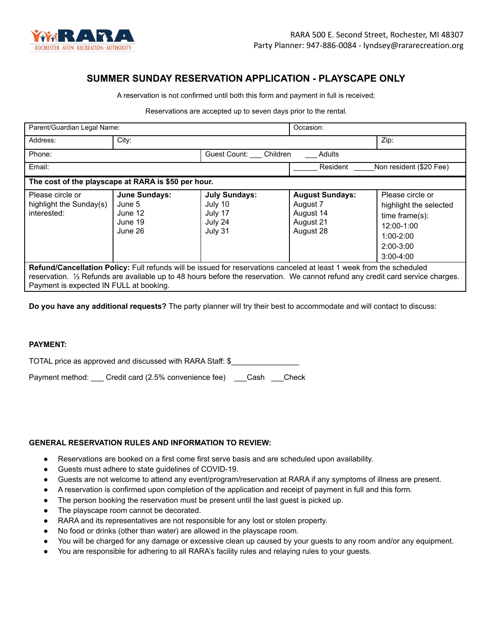

# **SUMMER SUNDAY RESERVATION APPLICATION - PLAYSCAPE ONLY**

A reservation is not confirmed until both this form and payment in full is received;

Reservations are accepted up to seven days prior to the rental.

| Parent/Guardian Legal Name:                                                                                                                                                                                                                                                                        |                                                          |                                                                  | Occasion:                                                                 |                                                                                                                            |  |
|----------------------------------------------------------------------------------------------------------------------------------------------------------------------------------------------------------------------------------------------------------------------------------------------------|----------------------------------------------------------|------------------------------------------------------------------|---------------------------------------------------------------------------|----------------------------------------------------------------------------------------------------------------------------|--|
| Address:                                                                                                                                                                                                                                                                                           | City:                                                    |                                                                  |                                                                           | Zip:                                                                                                                       |  |
| Phone:                                                                                                                                                                                                                                                                                             |                                                          | Guest Count: Children<br><b>Adults</b>                           |                                                                           |                                                                                                                            |  |
| Email:                                                                                                                                                                                                                                                                                             |                                                          |                                                                  | Resident                                                                  | Non resident (\$20 Fee)                                                                                                    |  |
| The cost of the playscape at RARA is \$50 per hour.                                                                                                                                                                                                                                                |                                                          |                                                                  |                                                                           |                                                                                                                            |  |
| Please circle or<br>highlight the Sunday(s)<br>interested:                                                                                                                                                                                                                                         | June Sundays:<br>June 5<br>June 12<br>June 19<br>June 26 | <b>July Sundays:</b><br>July 10<br>July 17<br>July 24<br>July 31 | <b>August Sundays:</b><br>August 7<br>August 14<br>August 21<br>August 28 | Please circle or<br>highlight the selected<br>$time frame(s)$ :<br>12:00-1:00<br>$1:00-2:00$<br>$2:00-3:00$<br>$3:00-4:00$ |  |
| Refund/Cancellation Policy: Full refunds will be issued for reservations canceled at least 1 week from the scheduled<br>reservation. 1/2 Refunds are available up to 48 hours before the reservation. We cannot refund any credit card service charges.<br>Payment is expected IN FULL at booking. |                                                          |                                                                  |                                                                           |                                                                                                                            |  |

**Do you have any additional requests?** The party planner will try their best to accommodate and will contact to discuss:

#### **PAYMENT:**

TOTAL price as approved and discussed with RARA Staff: \$\_\_\_\_\_\_\_\_\_\_\_\_\_\_\_\_

Payment method: Credit card (2.5% convenience fee) Cash Check

### **GENERAL RESERVATION RULES AND INFORMATION TO REVIEW:**

- Reservations are booked on a first come first serve basis and are scheduled upon availability.
- Guests must adhere to state guidelines of COVID-19.
- Guests are not welcome to attend any event/program/reservation at RARA if any symptoms of illness are present.
- A reservation is confirmed upon completion of the application and receipt of payment in full and this form.
- The person booking the reservation must be present until the last guest is picked up.
- The playscape room cannot be decorated.
- RARA and its representatives are not responsible for any lost or stolen property.
- No food or drinks (other than water) are allowed in the playscape room.
- You will be charged for any damage or excessive clean up caused by your guests to any room and/or any equipment.
- You are responsible for adhering to all RARA's facility rules and relaying rules to your guests.